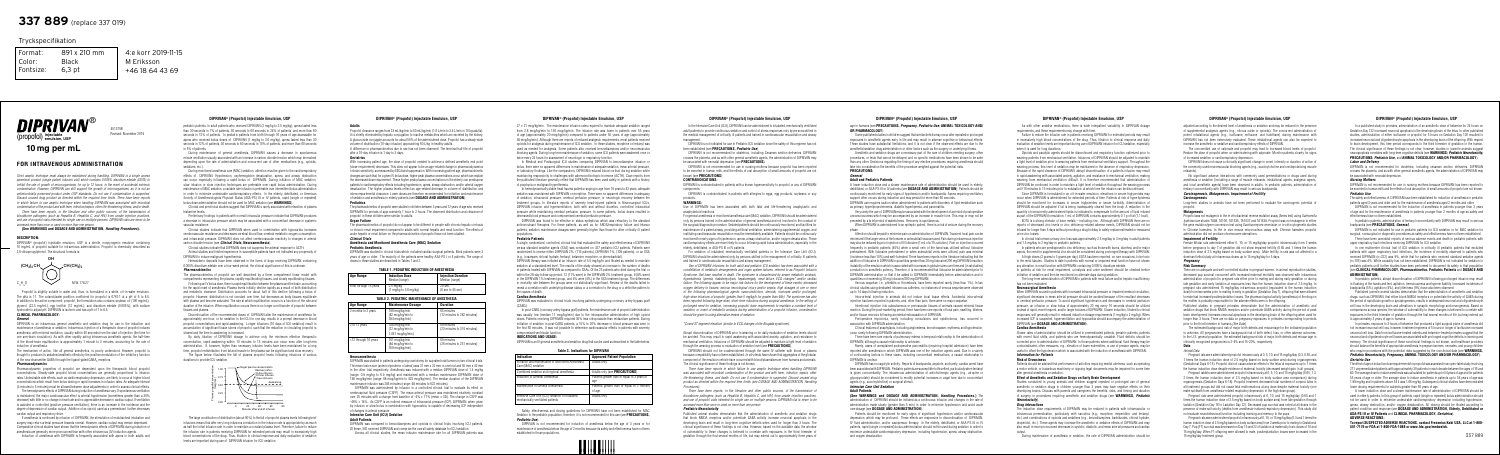

# DIPRIVAN® (Propofol) Injectable Emulsion, USP DIPRIVAN® (Propofol) Injectable Emulsion, USP DIPRIVAN® (Propofol) Injectable Emulsion, USP DIPRIVAN® (Propofol) Injectable Emulsion, USP DIPRIVAN® (Propofol) Injectable Emuls

*Strict aseptic technique must always be maintained during handling. DIPRIVAN is a single access parenteral product (single patient infusion vial) which contains 0.005% disodium edetate (EDTA) to inhibit the rate of growth of microorganisms, for up to 12 hours, in the event of accidental extrinsic contamination. However, DIPRIVAN can still support the growth of microorganisms, as it is not an antimicrobially preserved product under USP standards. Do not use if contamination is suspected. Discard unused drug product as directed within the required time limits. There have been reports in which failure to use aseptic technique when handling DIPRIVAN was associated with microbial contamination of the product and with fever, infection/sepsis, other life-threatening illness, and/or death.*

*There have been reports, in the literature and other public sources, of the transmission of bloodborne pathogens (such as Hepatitis B, Hepatitis C, and HIV) from unsafe injection practices, and use of propofol vials intended for single use on multiple persons. DIPRIVAN vials are never to be accessed more than once or used on more than one person.*

The mechanism of action, like all general anesthetics, is poorly understood. However, propofol is thought to produce its sedative/anesthetic effects by the positive modulation of the inhibitory function of the neurotransmitter GABA through the ligand-gated GABA<sub>A</sub> receptors.

### **(See WARNINGS and DOSAGE AND ADMINISTRATION,** *Handling Procedures***).**

### **DESCRIPTION:**

DIPRIVAN® (propofol) injectable emulsion, USP is a sterile, nonpyrogenic emulsion containing 10 mg/mL of propofol suitable for intravenous administration. Propofol is chemically described as 2,6-diisopropylphenol. The structural formula is:

Propofol is slightly soluble in water and, thus, is formulated in a white, oil-in-water emulsion. The pKa is 11. The octanol/water partition coefficient for propofol is 6761:1 at a pH of 6 to 8.5. In addition to the active component, propofol, the formulation also contains soybean oil (100 mg/mL), glycerol (22.5 mg/mL), egg lecithin (12 mg/mL); and disodium edetate  $(0.005\%)$ ; with sodium hydroxide to adjust pH. DIPRIVAN is isotonic and has a pH of 7 to 8.5. **CLINICAL PHARMACOLOGY:**

# *General*

DIPRIVAN is an intravenous general anesthetic and sedation drug for use in the induction and maintenance of anesthesia or sedation. Intravenous injection of a therapeutic dose of propofol induces anesthesia, with minimal excitation, usually within 40 seconds from the start of injection (the time for one arm-brain circulation). As with other rapidly acting intravenous anesthetic agents, the half-time of the blood-brain equilibration is approximately 1 minute to 3 minutes, accounting for the rate of induction of anesthesia.

### *Pharmacodynamics*

Clinical and preclinical studies suggest that DIPRIVAN is rarely associated with elevation of plasma histamine levels.

Pharmacodynamic properties of propofol are dependent upon the therapeutic blood propofol concentrations. Steady-state propofol blood concentrations are generally proportional to infusion rates. Undesirable side effects, such as cardiorespiratory depression, are likely to occur at higher blood concentrations which result from bolus dosing or rapid increases in infusion rates. An adequate interval (3 minutes to 5 minutes) must be allowed between dose adjustments in order to assess clinical effects.

The hemodynamic effects of DIPRIVAN during induction of anesthesia vary. If spontaneous ventilation is maintained, the major cardiovascular effect is arterial hypotension (sometimes greater than a 30% decrease) with little or no change in heart rate and no appreciable decrease in cardiac output. If ventilation is assisted or controlled (positive pressure ventilation), there is an increase in the incidence and the degree of depression of cardiac output. Addition of an opioid, used as a premedicant, further decreases cardiac output and respiratory drive.

If anesthesia is continued by infusion of DIPRIVAN, the stimulation of endotracheal intubation and surgery may return arterial pressure towards normal. However, cardiac output may remain depressed. Comparative clinical studies have shown that the hemodynamic effects of DIPRIVAN during induction of anesthesia are generally more pronounced than with other intravenous (IV) induction agents.

Induction of anesthesia with DIPRIVAN is frequently associated with apnea in both adults and

pediatric patients. In adult patients who received DIPRIVAN (2 mg/kg to 2.5 mg/kg), apnea lasted less than 30 seconds in 7% of patients, 30 seconds to 60 seconds in 24% of patients, and more than 60 seconds in 12% of patients. In pediatric patients from birth through 16 years of age assessable for apnea who received bolus doses of DIPRIVAN (1 mg/kg to 3.6 mg/kg), apnea lasted less than 30 seconds in 12% of patients, 30 seconds to 60 seconds in 10% of patients, and more than 60 seconds in 5% of patients.

Propofol clearance ranges from 23 mL/kg/min to 50 mL/kg/min (1.6 L/min to 3.4 L/min in 70 kg adults). It is chiefly eliminated by hepatic conjugation to inactive metabolites which are excreted by the kidney. A glucuronide conjugate accounts for about 50% of the administered dose. Propofol has a steady-state volume of distribution (10-day infusion) approaching 60 L/kg in healthy adults. A difference in pharmacokinetics due to sex has not been observed. The terminal half-life of propofol after a 10-day infusion is 1 day to 3 days.

During maintenance of general anesthesia, DIPRIVAN causes a decrease in spontaneous minute ventilation usually associated with an increase in carbon dioxide tension which may be marked depending upon the rate of administration and concurrent use of other medications (e.g., opioids, sedatives, etc.).

During monitored anesthesia care (MAC) sedation, attention must be given to the cardiorespiratory effects of DIPRIVAN. Hypotension, oxyhemoglobin desaturation, apnea, and airway obstruction can occur, especially following a rapid bolus of DIPRIVAN. During initiation of MAC sedation, slow infusion or slow injection techniques are preferable over rapid bolus administration. During maintenance of MAC sedation, a variable rate infusion is preferable over intermittent bolus administration in order to minimize undesirable cardiorespiratory effects. In the elderly, debilitated, or American Society of Anesthesiologists Physical Status (ASA-PS) III or IV patients, rapid (single or repeated) bolus dose administration should not be used for MAC sedation (see **WARNINGS**).

Preliminary findings in patients with normal intraocular pressure indicate that DIPRIVAN produces a decrease in intraocular pressure which may be associated with a concomitant decrease in systemic vascular resistance.

Clinical studies indicate that DIPRIVAN when used in combination with hypocarbia increases cerebrovascular resistance and decreases cerebral blood flow, cerebral metabolic oxygen consumption, and intracranial pressure. DIPRIVAN does not affect cerebrovascular reactivity to changes in arterial carbon dioxide tension (see *Clinical Trials,* **Neuroanesthesia**).

Clinical studies indicate that DIPRIVAN does not suppress the adrenal response to ACTH. Animal studies and limited experience in susceptible patients have not indicated any propensity of DIPRIVAN to induce malignant hyperthermia.

Hemosiderin deposits have been observed in the livers of dogs receiving DIPRIVAN containing 0.005% disodium edetate over a four-week period; the clinical significance of this is unknown. *Pharmacokinetics*

The pharmacokinetics of propofol are well described by a three compartment linear model with compartments representing the plasma, rapidly equilibrating tissues, and slowly equilibrating tissues.

 $27 \pm 21$  mcg/kg/min. The maintenance infusion rates required to maintain adequate sedation ranged from 2.8 mcg/kg/min to 130 mcg/kg/min. The infusion rate was lower in patients over 55 years of age (approximately 20 mcg/kg/min) compared to patients under 55 years of age (approximately 38 mcg/kg/min). Although there are reports of reduced analgesic requirements, most patients received opioids for analgesia during maintenance of ICU sedation. In these studies, morphine or fentanyl was used as needed for analgesia. Some patients also received benzodiazepines and/or neuromuscular blocking agents. During long-term maintenance of sedation, some ICU patients were awakened once or twice every 24 hours for assessment of neurologic or respiratory function.

In Medical and Postsurgical ICU studies comparing DIPRIVAN to benzodiazepine infusion or bolus, there were no apparent differences in maintenance of adequate sedation, mean arterial pressure, or laboratory findings. Like the comparators, DIPRIVAN reduced blood cortisol during sedation while maintaining responsivity to challenges with adrenocorticotropic hormone (ACTH). Case reports from the published literature generally reflect that DIPRIVAN has been used safely in patients with a history of porphyria or malignant hyperthermia.

Following an IV bolus dose, there is rapid equilibration between the plasma and the brain, accounting for the rapid onset of anesthesia. Plasma levels initially decline rapidly as a result of both distribution and metabolic clearance. Distribution accounts for about half of this decline following a bolus of propofol. However, distribution is not constant over time, but decreases as body tissues equilibrate with plasma and become saturated. The rate at which equilibration occurs is a function of the rate and duration of the infusion. When equilibration occurs there is no longer a net transfer of propofol between tissues and plasma.

Discontinuation of the recommended doses of DIPRIVAN after the maintenance of anesthesia for approximately one hour, or for sedation in the ICU for one day, results in a prompt decrease in blood propofol concentrations and rapid awakening. Longer infusions (10 days of ICU sedation) result in accumulation of significant tissue stores of propofol, such that the reduction in circulating propofol is slowed and the time to awakening is increased.

By daily titration of DIPRIVAN dosage to achieve only the minimum effective therapeutic concentration, rapid awakening within 10 minutes to 15 minutes can occur even after long-term administration. If however, higher than necessary infusion levels have been maintained for a long time, propofol redistribution from fat and muscle to the plasma can be significant and slow recovery.

The figure below illustrates the fall of plasma propofol levels following infusions of various durations to provide ICU sedation.

The large contribution of distribution (about 50%) to the fall of propofol plasma levels following brief infusions means that after very long infusions a reduction in the infusion rate is appropriate by as much as half the initial infusion rate in order to maintain a constant plasma level. Therefore, failure to reduce the infusion rate in patients receiving DIPRIVAN for extended periods may result in excessively high blood concentrations of the drug. Thus, titration to clinical response and daily evaluation of sedation levels are important during use of DIPRIVAN infusion for ICU sedation.

# **Adults**

### **Geriatrics**

With increasing patient age, the dose of propofol needed to achieve a defined anesthetic end point (dose-requirement) decreases. This does not appear to be an age-related change in pharmacodynamics or brain sensitivity, as measured by EEG burst suppression. With increasing patient age, pharmacokinetic changes are such that, for a given IV bolus dose, higher peak plasma concentrations occur, which can explain the decreased dose requirement. These higher peak plasma concentrations in the elderly can predispose patients to cardiorespiratory effects including hypotension, apnea, airway obstruction, and/or arterial oxygen desaturation. The higher plasma levels reflect an age-related decrease in volume of distribution and intercompartmental clearance. Lower doses are therefore recommended for initiation and maintenance of sedation and anesthesia in elderly patients (see **DOSAGE AND ADMINISTRATION**).

# **Pediatrics**

The pharmacokinetics of propofol were studied in children between 3 years and 12 years of age who received DIPRIVAN for periods of approximately 1 hour to 2 hours. The observed distribution and clearance of propofol in these children were similar to adults.

# **Organ Failure**

The pharmacokinetics of propofol do not appear to be different in people with chronic hepatic cirrhosis or chronic renal impairment compared to adults with normal hepatic and renal function. The effects of acute hepatic or renal failure on the pharmacokinetics of propofol have not been studied. *Clinical Trials*

### **Anesthesia and Monitored Anesthesia Care (MAC) Sedation Pediatric Anesthesia**

DIPRIVAN was studied in clinical trials which included cardiac surgical patients. Most patients were 3 years of age or older. The majority of the patients were healthy ASA-PS I or II patients. The range of doses in these studies are described in Tables 1 and 2.

| TABLE 1. PEDIATRIC INDUCTION OF ANESTHESIA |  |
|--------------------------------------------|--|
|--------------------------------------------|--|

| Age Range              | <b>Induction Dose</b><br>Median (range)       | <b>Injection Duration</b><br>Median (range) |
|------------------------|-----------------------------------------------|---------------------------------------------|
| Birth through 16 years | $2.5 \text{ ma/ka}$<br>(1 mg/kg to 3.6 mg/kg) | 20 sec.<br>$(6 \sec t 45 \sec)$             |

### **TABLE 2. PEDIATRIC MAINTENANCE OF ANESTHESIA**

| <b>Age Range</b>     | <b>Maintenance Dosage</b>                                | <b>Duration</b>                           |
|----------------------|----------------------------------------------------------|-------------------------------------------|
| 2 months to 2 years  | 199 mcg/kg/min<br>(82 mcg/kg/min to<br>394 mcg/kg/min)   | 65 minutes<br>(12 minutes to 282 minutes) |
| 2 to 12 years        | 188 mcg/kg/min<br>(12 mcg/kg/min to<br>1,041 mcg/kg/min) | 69 minutes<br>(23 minutes to 374 minutes) |
| >12 through 16 years | 161 mcg/kg/min<br>(84 mcg/kg/min to<br>359 mcg/kg/min)   | 69 minutes<br>(26 minutes to 251 minutes) |

### **Neuroanesthesia**

Some published studies in children suggest that similar deficits may occur after repeated or prolonged exposures to anesthetic agents early in life and may result in adverse cognitive or behavioral effects. These studies have substantial limitations, and it is not clear if the observed effects are due to the anesthetic/sedation drug administration or other factors such as the surgery or underlying illness.

DIPRIVAN was studied in patients undergoing craniotomy for supratentorial tumors in two clinical trials. The mean lesion size (anterior/posterior x lateral) was 31 mm x 32 mm in one trial and 55 mm x 42 mm in the other trial respectively. Anesthesia was induced with a median DIPRIVAN dose of 1.4 mg/kg (range: 0.9 mg/kg to 6.9 mg/kg) and maintained with a median maintenance DIPRIVAN dose of 146 mcg/kg/min (range: 68 mcg/kg/min to 425 mcg/kg/min). The median duration of the DIPRIVAN maintenance infusion was 285 minutes (range: 48 minutes to 622 minutes).

DIPRIVAN was administered by infusion in a controlled clinical trial to evaluate its effect on cerebrospinal fluid pressure (CSFP). The mean arterial pressure was maintained relatively constant over 25 minutes with a change from baseline of -4%  $\pm$  17% (mean  $\pm$  SD). The change in CSFP was -46% ± 14%. As CSFP is an indirect measure of intracranial pressure (ICP), DIPRIVAN, when given by infusion or slow bolus in combination with hypocarbia, is capable of decreasing ICP independent of changes in arterial pressure.

### **Intensive Care Unit (ICU) Sedation Adult Patients**

DIPRIVAN was compared to benzodiazepines and opioids in clinical trials involving ICU patients. Of these, 302 received DIPRIVAN and comprise the overall safety database for ICU sedation. Across all clinical studies, the mean infusion maintenance rate for all DIPRIVAN patients was

In hemodynamically stable head trauma patients ranging in age from 19 years to 43 years, adequate sedation was maintained with DIPRIVAN or morphine. There were no apparent differences in adequacy of sedation, intracranial pressure, cerebral perfusion pressure, or neurologic recovery between the treatment groups. In literature reports of severely head-injured patients in Neurosurgical ICUs, DIPRIVAN infusion and hyperventilation, both with and without diuretics, controlled intracranial pressure while maintaining cerebral perfusion pressure. In some patients, bolus doses resulted in decreased blood pressure and compromised cerebral perfusion pressure.

DIPRIVAN was found to be effective in status epilepticus which was refractory to the standard anticonvulsant therapies. For these patients, as well as for ARDS/respiratory failure and tetanus patients, sedation maintenance dosages were generally higher than those for other critically ill patient populations.

# **Pediatric Patients**

A single, randomized, controlled, clinical trial that evaluated the safety and effectiveness of DIPRIVAN versus standard sedative agents (SSA) was conducted on 327 pediatric ICU patients. Patients were randomized to receive either DIPRIVAN 2%, (113 patients), DIPRIVAN 1%, (109 patients), or an SSA (e.g., lorazepam, chloral hydrate, fentanyl, ketamine, morphine, or phenobarbital). DIPRIVAN therapy was initiated at an infusion rate of 5.5 mg/kg/hr and titrated as needed to maintain

sedation at a standardized level. The results of the study showed an increase in the number of deaths in patients treated with DIPRIVAN as compared to SSAs. Of the 25 patients who died during the trial or within the 28-day follow-up period: 12 (11% were) in the DIPRIVAN 2% treatment group, 9 (8% were) in the DIPRIVAN 1% treatment group, and 4% were (4%) in the SSA treatment group. The differences in mortality rate between the groups were not statistically significant. Review of the deaths failed to reveal a correlation with underlying disease status or a correlation to the drug or a definitive pattern to the causes of death.

When DIPRIVAN is used in patients with increased intracranial pressure or impaired cerebral circulation. significant decreases in mean arterial pressure should be avoided because of the resultant decreases in cerebral perfusion pressure. To avoid significant hypotension and decreases in cerebral perfusion pressure, an infusion or slow bolus of approximately 20 mg every 10 seconds should be utilized instead of rapid, more frequent, and/or larger boluses of DIPRIVAN. Slower induction, titrated to clinical responses, will generally result in reduced induction dosage requirements (1 mg/kg to 2 mg/kg). When increased ICP is suspected, hyperventilation and hypocarbia should accompany the administration of DIPRIVAN (see **DOSAGE AND ADMINISTRATION**).

# **Cardiac Anesthesia**

DIPRIVAN was evaluated in clinical trials involving patients undergoing coronary artery bypass graft

(CABG). In post-CABG (coronary artery bypass graft) patients, the maintenance rate of propofol administration was usually low (median 11 mcg/kg/min) due to the intraoperative administration of high opioid doses. Patients receiving DIPRIVAN required 35% less nitroprusside than midazolam patients. During initiation of sedation in post-CABG patients, a 15% to 20% decrease in blood pressure was seen in the first 60 minutes. It was not possible to determine cardiovascular effects in patients with severely compromised ventricular function. **INDICATIONS AND USAGE:**

DIPRIVAN is an IV general anesthetic and sedation drug that can be used as described in the table below.

# **Indication**

# Intensive Ca mechanically

# **Table 3. Indications for DIPRIVAN**

| Indication                                                                           | <b>Approved Patient Population</b>                   |
|--------------------------------------------------------------------------------------|------------------------------------------------------|
| Initiation and maintenance of Monitored Anesthesia<br>Care (MAC) sedation            | Adults only                                          |
| Combined sedation and regional anesthesia                                            | Adults only (see PRECAUTIONS)                        |
| Induction of General Anesthesia                                                      | Patients greater than or equal to 3 years of<br>age  |
| Maintenance of General Anesthesia                                                    | Patients greater than or equal to 2 months<br>of age |
| Intensive Care Unit (ICU) sedation of intubated,<br>mechanically ventilated patients | Adults only                                          |

Safety, effectiveness and dosing guidelines for DIPRIVAN have not been established for MAC Sedation in the pediatric population; therefore, it is not recommended for this use (see **PRECAUTIONS,** *Pediatric Use*).

DIPRIVAN is not recommended for induction of anesthesia below the age of 3 years or for maintenance of anesthesia below the age of 2 months because its safety and effectiveness have not been established in those populations.

In the Intensive Care Unit (ICU), DIPRIVAN can be administered to intubated, mechanically ventilated adult patients to provide continuous sedation and control of stress responses only by persons skilled in the medical management of critically ill patients and trained in cardiovascular resuscitation and airway management.

DIPRIVAN is not indicated for use in Pediatric ICU sedation since the safety of this regimen has not been established (see **PRECAUTIONS,** *Pediatric Use*).

DIPRIVAN is not recommended for obstetrics, including Cesarean section deliveries. DIPRIVAN crosses the placenta, and as with other general anesthetic agents, the administration of DIPRIVAN may be associated with neonatal depression (see **PRECAUTIONS**).

DIPRIVAN is not recommended for use in nursing mothers because propofol has been reported to be excreted in human milk, and the effects of oral absorption of small amounts of propofol are not known (see **PRECAUTIONS**).

# **CONTRAINDICATIONS:**

DIPRIVAN is contraindicated in patients with a known hypersensitivity to propofol or any of DIPRIVAN components.

DIPRIVAN is contraindicated in patients with allergies to eggs, egg products, soybeans or soy products.

# **WARNINGS**

Use of DIPRIVAN has been associated with both fatal and life-threatening anaphylactic and anaphylactoid reactions.

> Pregnant rabbits were administered propofol intravenously at 0, 5, 10, and 15 mg/kg/day (0.65, 1.3, 2 times the human induction dose of 2.5 mg/kg based on body surface area comparison) during organogenesis (Gestation Days 6-18). Propofol treatment decreased total numbers of corpora lutea in all treatment groups but did not cause fetal malformations at any dose despite maternal toxicity (one maternal death from anesthesia-related respiratory depression in the high dose group).

For general anesthesia or monitored anesthesia care (MAC) sedation, DIPRIVAN should be administered only by persons trained in the administration of general anesthesia and not involved in the conduct of the surgical/diagnostic procedure. Sedated patients should be continuously monitored, and facilities for maintenance of a patent airway, providing artificial ventilation, administering supplemental oxygen, and instituting cardiovascular resuscitation must be immediately available. Patients should be continuously monitored for early signs of hypotension, apnea, airway obstruction, and/or oxygen desaturation. These cardiorespiratory effects are more likely to occur following rapid bolus administration, especially in the elderly, debilitated, or ASA-PS III or IV patients.

For sedation of intubated, mechanically ventilated patients in the Intensive Care Unit (ICU), DIPRIVAN should be administered only by persons skilled in the management of critically ill patients and trained in cardiovascular resuscitation and airway management.

*Use of DIPRIVAN infusions for both adult and pediatric ICU sedation has been associated with a constellation of metabolic derangements and organ system failures, referred to as Propofol Infusion Syndrome, that have resulted in death. The syndrome is characterized by severe metabolic acidosis, hyperkalemia, lipemia, rhabdomyolysis, hepatomegaly, renal failure, ECG changes\* and/or cardiac failure. The following appear to be major risk factors for the development of these events: decreased oxygen delivery to tissues; serious neurological injury and/or sepsis; high dosages of one or more of the following pharmacological agents: vasoconstrictors, steroids, inotropes and/or prolonged, high-dose infusions of propofol (greater than 5 mg/kg/h for greater than 48h). The syndrome has also been reported following large-dose, short-term infusions during surgical anesthesia. In the setting of prolonged need for sedation, increasing propofol dose requirements to maintain a constant level of sedation, or onset of metabolic acidosis during administration of a propofol infusion, consideration should be given to using alternative means of sedation.*

### *\*Coved ST segment elevation (similar to ECG changes of the Brugada syndrome).*

Abrupt discontinuation of DIPRIVAN prior to weaning or for daily evaluation of sedation levels should be avoided. This may result in rapid awakening with associated anxiety, agitation, and resistance to mechanical ventilation. Infusions of DIPRIVAN should be adjusted to maintain a light level of sedation through the weaning process or evaluation of sedation level (see **PRECAUTIONS**).

DIPRIVAN should not be coadministered through the same IV catheter with blood or plasma because compatibility has not been established. *In vitro* tests have shown that aggregates of the globular component of the emulsion vehicle have occurred with blood/plasma/serum from humans and animals. The clinical significance of these findings is not known.

*There have been reports in which failure to use aseptic technique when handling DIPRIVAN was associated with microbial contamination of the product and with fever, infection, sepsis, other life-threatening illness, and death. Do not use if contamination is suspected. Discard unused drug product as directed within the required time limits (see DOSAGE AND ADMINISTRATION, Handling Procedures).*

*There have been reports, in the literature and other public sources, of the transmission of bloodborne pathogens (such as Hepatitis B, Hepatitis C, and HIV) from unsafe injection practices, and use of propofol vials intended for single use on multiple persons. DIPRIVAN vial is never to be accessed more than once or used on more than one person.*

# *Pediatric Neurotoxicity*

Published animal studies demonstrate that the administration of anesthetic and sedation drugs that block NMDA receptors and/or potentiate GABA activity increase neuronal apoptosis in the developing brain and result in long-term cognitive deficits when used for longer than 3 hours. The clinical significance of these findings is not clear. However, based on the available data, the window of vulnerability to these changes is believed to correlate with exposures in the third trimester of gestation through the first several months of life, but may extend out to approximately three years of

# age in humans (see **PRECAUTIONS,** *Pregnancy, Pediatric Use;* **ANIMAL TOXICOLOGY AND/ OR PHARMACOLOGY**).



Anesthetic and sedation drugs are a necessary part of the care of children needing surgery, other procedures, or tests that cannot be delayed, and no specific medications have been shown to be safer than any other. Decisions regarding the timing of any elective procedures requiring anesthesia should take into consideration the benefits of the procedure weighed against the potential risks.

# **PRECAUTIONS:**

# *General*

### **Adult and Pediatric Patients**

A lower induction dose and a slower maintenance rate of administration should be used in elderly, debilitated, or ASA-PS III or IV patients (see **DOSAGE AND ADMINISTRATION**). Patients should be continuously monitored for early signs of hypotension and/or bradycardia. Appea requiring ventilatory support often occurs during induction and may persist for more than 60 seconds.

DIPRIVAN use requires caution when administered to patients with disorders of lipid metabolism such as primary hyperlipoproteinemia, diabetic hyperlipemia, and pancreatitis.

Very rarely the use of DIPRIVAN may be associated with the development of a period of postoperative unconsciousness which may be accompanied by an increase in muscle tone. This may or may not be preceded by a brief period of wakefulness. Recovery is spontaneous.

When DIPRIVAN is administered to an epileptic patient, there is a risk of seizure during the recovery phase.

Attention should be paid to minimize pain on administration of DIPRIVAN. Transient local pain can be minimized if the larger veins of the forearm or antecubital fossa are used. Pain during intravenous injection may also be reduced by prior injection of IV lidocaine (1 mL of a 1% solution). Pain on injection occurred frequently in pediatric patients (45%) when a small vein of the hand was utilized without lidocaine pretreatment. With lidocaine pretreatment or when antecubital veins were utilized, pain was minimal (incidence less than 10%) and well-tolerated. There have been reports in the literature indicating that the addition of lidocaine to DIPRIVAN in quantities greater than 20 mg lidocaine/200 mg DIPRIVAN results in instability of the emulsion which is associated with increases in globule sizes over time and (in rat studies) a reduction in anesthetic potency. Therefore, it is recommended that lidocaine be administered prior to DIPRIVAN administration or that it be added to DIPRIVAN immediately before administration and in quantities not exceeding 20 mg lidocaine/200 mg DIPRIVAN.

Venous sequelae, i.e., phlebitis or thrombosis, have been reported rarely (less than 1%). In two clinical studies using dedicated intravenous catheters, no instances of venous sequelae were observed up to 14 days following induction.

Intra-arterial injection in animals did not induce local tissue effects. Accidental intra-arterial injection has been reported in patients, and, other than pain, there were no major sequelae.

Intentional injection into subcutaneous or perivascular tissues of animals caused minimal tissue reaction. During the post-marketing period, there have been rare reports of local pain, swelling, blisters, and/or tissue necrosis following accidental extravasation of DIPRIVAN.

Perioperative myoclonia, rarely including convulsions and opisthotonos, has occurred in association with DIPRIVAN administration.

Clinical features of anaphylaxis, including angioedema, bronchospasm, erythema, and hypotension, occur rarely following DIPRIVAN administration.

There have been rare reports of pulmonary edema in temporal relationship to the administration of DIPRIVAN, although a causal relationship is unknown.

Rarely, cases of unexplained postoperative pancreatitis (requiring hospital admission) have been reported after anesthesia in which DIPRIVAN was one of the induction agents used. Due to a variety of confounding factors in these cases, including concomitant medications, a causal relationship to DIPRIVAN is unclear.

DIPRIVAN has no vagolytic activity. Reports of bradycardia, asystole, and rarely, cardiac arrest have been associated with DIPRIVAN. Pediatric patients are susceptible to this effect, particularly when fentanyl is given concomitantly. The intravenous administration of anticholinergic agents (e.g., atropine or glycopyrrolate) should be considered to modify potential increases in vagal tone due to concomitant agents (e.g., succinylcholine) or surgical stimuli.

### *Intensive Care Unit Sedation*

### **Adult Patients**

**(See WARNINGS and DOSAGE AND ADMINISTRATION,** *Handling Procedures***.)** The

administration of DIPRIVAN should be initiated as a continuous infusion and changes in the rate of administration made slowly (greater than 5 min) in order to minimize hypotension and avoid acute overdosage (see **DOSAGE AND ADMINISTRATION**).

Patients should be monitored for early signs of significant hypotension and/or cardiovascular depression, which may be profound. These effects are responsive to discontinuation of DIPRIVAN, IV fluid administration, and/or vasopressor therapy. In the elderly, debilitated, or ASA-PS III or IV patients, rapid (single or repeated) bolus administration should not be used during sedation in order to minimize undesirable cardiorespiratory depression, including hypotension, apnea, airway obstruction, and oxygen desaturation.

As with other sedative medications, there is wide interpatient variability in DIPRIVAN dosage

requirements, and these requirements may change with time.

Failure to reduce the infusion rate in patients receiving DIPRIVAN for extended periods may result in excessively high blood concentrations of the drug. Thus, titration to clinical response and daily evaluation of sedation levels are important during use of DIPRIVAN infusion for ICU sedation, especially

when it is used for long durations. Opioids and paralytic agents should be discontinued and respiratory function optimized prior to weaning patients from mechanical ventilation. Infusions of DIPRIVAN should be adjusted to maintain a light level of sedation prior to weaning patients from mechanical ventilatory support. Throughout the weaning process, this level of sedation may be maintained in the absence of respiratory depression. Because of the rapid clearance of DIPRIVAN, abrupt discontinuation of a patient's infusion may result in rapid awakening with associated anxiety, agitation, and resistance to mechanical ventilation, making weaning from mechanical ventilation difficult. It is therefore recommended that administration of DIPRIVAN be continued in order to maintain a light level of sedation throughout the weaning process until 10 minutes to 15 minutes prior to extubation, at which time the infusion can be discontinued.

Since DIPRIVAN is formulated in an oil-in-water emulsion, elevations in serum triglycerides may DIPRIVAN should be adjusted if fat is being inadequately cleared from the body. A reduction in the EDTA is a strong chelator of trace metals – including zinc. Although with DIPRIVAN there are no

occur when DIPRIVAN is administered for extended periods of time. Patients at risk of hyperlipidemia should be monitored for increases in serum triglycerides or serum turbidity. Administration of quantity of concurrently administered lipids is indicated to compensate for the amount of lipid infused as part of the DIPRIVAN formulation; 1 mL of DIPRIVAN contains approximately 0.1 g of fat (1.1 kcal). reports of decreased zinc levels or zinc deficiency-related adverse events, DIPRIVAN should not be infused for longer than 5 days without providing a drug holiday to safely replace estimated or measured urine zinc losses.

In clinical trials mean urinary zinc loss was approximately 2.5 mg/day to 3 mg/day in adult patients

In patients at risk for renal impairment, urinalysis and urine sediment should be checked before

and 1.5 mg/day to 2 mg/day in pediatric patients.

In patients who are predisposed to zinc deficiency, such as those with burns, diarrhea, and/or major sepsis, the need for supplemental zinc should be considered during prolonged therapy with DIPRIVAN. At high doses (2 grams to 3 grams per day), EDTA has been reported, on rare occasions, to be toxic to the renal tubules. Studies to date in patients with normal or impaired renal function have not shown any alteration in renal function with DIPRIVAN containing 0.005% disodium edetate.

initiation of sedation and then be monitored on alternate days during sedation.

The long-term administration of DIPRIVAN to patients with renal failure and/or hepatic insufficiency

has not been evaluated.

# **Neurosurgical Anesthesia**

# **Cardiac Anesthesia**

Slower rates of administration should be utilized in premedicated patients, geriatric patients, patients with recent fluid shifts, and patients who are hemodynamically unstable. Fluid deficits should be corrected prior to administration of DIPRIVAN. In those patients where additional fluid therapy may be contraindicated, other measures, e.g., elevation of lower extremities, or use of pressor agents, may be useful to offset the hypotension which is associated with the induction of anesthesia with DIPRIVAN.

### *Information for Patients* **Risk of Drowsiness**

Patients should be advised that performance of activities requiring mental alertness, such as operating a motor vehicle, or hazardous machinery or signing legal documents may be impaired for some time

after general anesthesia or sedation.

## **Effect of Anesthetic and Sedation Drugs on Early Brain Development**

Studies conducted in young animals and children suggest repeated or prolonged use of general anesthetic or sedation drugs in children younger than 3 years may have negative effects on their developing brains. Discuss with parents and caregivers the benefits, risks, and timing and duration of surgery or procedures requiring anesthetic and sedation drugs (see **WARNINGS,** *Pediatric Neurotoxicity*).

# *Drug Interactions*

The induction dose requirements of DIPRIVAN may be reduced in patients with intramuscular or intravenous premedication, particularly with narcotics (e.g., morphine, meperidine, and fentanyl, etc.) and combinations of opioids and sedatives (e.g., benzodiazepines, barbiturates, chloral hydrate, droperidol, etc.). These agents may increase the anesthetic or sedative effects of DIPRIVAN and may also result in more pronounced decreases in systolic, diastolic, and mean arterial pressures and cardiac

output.

During maintenance of anesthesia or sedation, the rate of DIPRIVAN administration should be

adjusted according to the desired level of anesthesia or sedation and may be reduced in the presence of supplemental analgesic agents (e.g., nitrous oxide or opioids). The concurrent administration of potent inhalational agents (e.g., isoflurane, enflurane, and halothane) during maintenance with DIPRIVAN has not been extensively evaluated. These inhalational agents can also be expected to increase the anesthetic or sedative and cardiorespiratory effects of DIPRIVAN.

The concomitant use of valproate and propofol may lead to increased blood levels of propofol. Reduce the dose of propofol when co-administering with valproate. Monitor patients closely for signs of increased sedation or cardiorespiratory depression.

DIPRIVAN does not cause a clinically significant change in onset, intensity or duration of action of the commonly used neuromuscular blocking agents (e.g., succinylcholine and nondepolarizing muscle relaxants).

No significant adverse interactions with commonly used premedications or drugs used during anesthesia or sedation (including a range of muscle relaxants, inhalational agents, analgesic agents, and local anesthetic agents) have been observed in adults. In pediatric patients, administration of fentanyl concomitantly with DIPRIVAN may result in serious bradycardia.

### *Carcinogenesis, Mutagenesis, Impairment of Fertility*

# **Carcinogenesis**

Long-term studies in animals have not been performed to evaluate the carcinogenic potential of propofol.

### **Mutagenesis**

Propofol was not mutagenic in the *in vitro* bacterial reverse mutation assay (Ames test) using *Salmonella typhimurium* strains TA98, TA100, TA1535, TA1537 and TA1538. Propofol was not mutagenic in either the gene mutation/gene conversion test using *Saccharomyces cerevisiae*, or *in vitro* cytogenetic studies in Chinese hamsters. In the *in vivo* mouse micronucleus assay with Chinese hamsters propofol administration did not produce chromosome aberrations.

# **Impairment of Fertility**

Female Wistar rats administered either 0, 10, or 15 mg/kg/day propofol intravenously from 2 weeks before pregnancy to day 7 of gestation did not show impaired fertility (0.65 and 1 times the human induction dose of 2.5 mg/kg based on body surface area). Male fertility in rats was not affected in a dominant lethal study at intravenous doses up to 15 mg/kg/day for 5 days.

### *Pregnancy* **Risk Summary**

There are no adequate and well-controlled studies in pregnant women. In animal reproduction studies, decreased pup survival concurrent with increased maternal mortality was observed with intravenous administration of propofol to pregnant rats either prior to mating and during early gestation or during late gestation and early lactation at exposures less than the human induction dose of 2.5 mg/kg. In pregnant rats administered 15 mg/kg/day intravenous propofol (equivalent to the human induction dose) from two weeks prior to mating to early in gestation (Gestation Day 7), offspring that were allowed to mate had increased postimplantation losses. The pharmacological activity (anesthesia) of the drug on the mother is probably responsible for the adverse effects seen in the offspring.

Published studies in pregnant primates demonstrate that the administration of anesthetic and sedation drugs that block NMDA receptors and/or potentiate GABA activity during the period of peak brain development increases neuronal apoptosis in the developing brain of the offspring when used for longer than 3 hours. There are no data on pregnancy exposures in primates corresponding to periods prior to the third trimester in humans *[See Data]*.

The estimated background risk of major birth defects and miscarriage for the indicated population is unknown. All pregnancies have a background risk of birth defect, loss, or other adverse outcomes. In the U.S. general population, the estimated background risk of major birth defects and miscarriage in clinically recognized pregnancies is 2-4% and 15-20%, respectively.

### **Data** *Animal Data*

Pregnant rats were administered propofol intravenously at 0, 5, 10, and 15 mg/kg/day (0.3, 0.65, and 1 times the human induction dose of 2.5 mg/kg based on body surface area) during organogenesis (Gestational Days 6-15). Propofol did not cause adverse effects to the fetus at exposures up to 1 times the human induction dose despite evidence of maternal toxicity (decreased weight gain in all groups).

Pregnant rats were administered propofol intravenously at 0, 10, and 15 mg/kg/day (0.65 and 1 times the human induction dose of 2.5 mg/kg based on body surface area) from late gestation through lactation (Gestation Day 16 to Lactation Day 22). Decreased pup survival was noted at all doses in the presence of maternal toxicity (deaths from anesthesia-induced respiratory depression). This study did not evaluate neurobehavioral function including learning and memory in the pups.

Pregnant rats were administered propofol intravenously at 0, 10, or 15 mg/kg/day (0.3 and 1 times the human induction dose of 2.5 mg/kg based on body surface area) from 2 weeks prior to mating to Gestational Day 7. Pup (F1) survival was decreased on Day 15 and 22 of lactation at maternally toxic doses of 10 and 15 mg/kg/day. When F1 offspring were allowed to mate, postimplantation losses were increased in the 15 mg/kg/day treatment group.

In a published study in primates, administration of an anesthetic dose of ketamine for 24 hours on Gestation Day 122 increased neuronal apoptosis in the developing brain of the fetus. In other published studies, administration of either isoflurane or propofol for 5 hours on Gestation Day 120 resulted in increased neuronal and oligodendrocyte apoptosis in the developing brain of the offspring. With respect to brain development, this time period corresponds to the third trimester of gestation in the human. The clinical significance of these findings is not clear; however, studies in juvenile animals suggest neuroapoptosis correlates with long-term cognitive deficits (see **WARNINGS;** *Pediatric Neurotoxicity,* 

# **PRECAUTIONS;** *Pediatric Use,* and **ANIMAL TOXICOLOGY AND/OR PHARMACOLOGY**). *Labor and Delivery*

DIPRIVAN is not recommended for obstetrics, including cesarean section deliveries. DIPRIVAN crosses the placenta, and as with other general anesthetic agents, the administration of DIPRIVAN may be associated with neonatal depression.

### *Nursing Mothers*

DIPRIVAN is not recommended for use in nursing mothers because DIPRIVAN has been reported to be excreted in human milk and the effects of oral absorption of small amounts of propofol are not known. *Pediatric Use*

The safety and effectiveness of DIPRIVAN have been established for induction of anesthesia in pediatric patients aged 3 years and older and for the maintenance of anesthesia aged 2 months and older.

DIPRIVAN is not recommended for the induction of anesthesia in patients younger than 3 years of age and for the maintenance of anesthesia in patients younger than 2 months of age as safety and effectiveness have not been established.

In pediatric patients, administration of fentanyl concomitantly with DIPRIVAN may result in serious bradycardia (see **PRECAUTIONS**, *General*).

DIPRIVAN is not indicated for use in pediatric patients for ICU sedation or for MAC sedation for surgical, nonsurgical or diagnostic procedures as safety and effectiveness have not been established. There have been anecdotal reports of serious adverse events and death in pediatric patients with

upper respiratory tract infections receiving DIPRIVAN for ICU sedation.

In one multicenter clinical trial of ICU sedation in critically ill pediatric patients that excluded patients with upper respiratory tract infections, the incidence of mortality observed in patients who received DIPRIVAN (n=222) was 9%, while that for patients who received standard sedative agents (n=105) was 4%. While causality has not been established, DIPRIVAN is not indicated for sedation in pediatric patients until further studies have been performed to document its safety in that population (see **CLINICAL PHARMACOLOGY,** *Pharmacokinetics***, Pediatric Patients** and **DOSAGE AND ADMINISTRATION**).

In pediatric patients, abrupt discontinuation of DIPRIVAN following prolonged infusion may result in flushing of the hands and feet, agitation, tremulousness and hyperirritability. Increased incidences of bradycardia (5%), agitation (4%), and jitteriness (9%) have also been observed.

Published juvenile animal studies demonstrate that the administration of anesthetic and sedation drugs, such as DIPRIVAN, that either block NMDA receptors or potentiate the activity of GABA during the period of rapid brain growth or synaptogenesis, results in widespread neuronal and oligodendrocyte cell loss in the developing brain and alterations in synaptic morphology and neurogenesis. Based on comparisons across species, the window of vulnerability to these changes is believed to correlate with exposures in the third trimester of gestation through the first several months of life, but may extend out to approximately 3 years of age in humans.

In primates, exposure to 3 hours of ketamine that produced a light surgical plane of anesthesia did not increase neuronal cell loss, however, treatment regimens of 5 hours or longer of isoflurane increased neuronal cell loss. Data from isoflurane-treated rodents and ketamine-treated primates suggest that the neuronal and oligodendrocyte cell losses are associated with prolonged cognitive deficits in learning and memory. The clinical significance of these nonclinical findings is not known, and healthcare providers should balance the benefits of appropriate anesthesia in pregnant women, neonates, and young children who require procedures with the potential risks suggested by the nonclinical data (see **WARNINGS**, *Pediatric Neurotoxicity, Pregnancy,* **ANIMAL TOXICOLOGY AND/OR PHARMACOLOGY**).

### *Geriatric Use*

The effect of age on induction dose requirements for propofol was assessed in an open-label study involving 211 unpremedicated patients with approximately 30 patients in each decade between the ages of 16 and 80. The average dose to induce anesthesia was calculated for patients up to 54 years of age and for patients 55 years of age or older. The average dose to induce anesthesia in patients up to 54 years of age was 1.99 mg/kg and in patients above 54 it was 1.66 mg/kg. Subsequent clinical studies have demonstrated lower dosing requirements for subjects greater than 60 years of age.

A lower induction dose and a slower maintenance rate of administration of DIPRIVAN should be used in elderly patients. In this group of patients, rapid (single or repeated) bolus administration should not be used in order to minimize undesirable cardiorespiratory depression including hypotension, apnea, airway obstruction, and/or oxygen desaturation. All dosing should be titrated according to patient condition and response (see **DOSAGE AND ADMINISTRATION, Elderly, Debilitated or ASA-PS III or IV Patients** and **CLINICAL PHARMACOLOGY,** *Geriatrics*). **ADVERSE REACTIONS:**

**To report SUSPECTED ADVERSE REACTIONS, contact Fresenius Kabi USA, LLC at 1-800- 551-7176 or FDA at 1-800-FDA-1088 or www.fda.gov/medwatch.**



# **FOR INTRAVENOUS ADMINISTRATION**



# **DIPRIVAN® DIPRIVAN (Propofol) Injectable Emulsion, USP ® (Propofol) Injectable Emulsion, USP**

451375B Revised: November 2019

# **10 mg per mL**